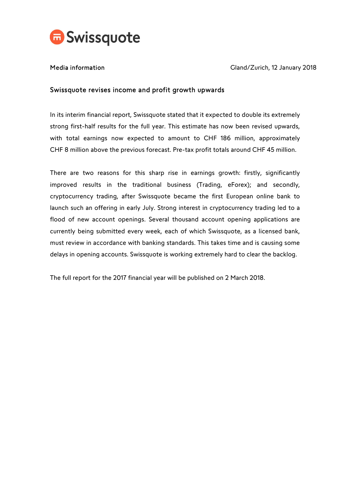

Media information and Cland/Zurich, 12 January 2018

## Swissquote revises income and profit growth upwards

In its interim financial report, Swissquote stated that it expected to double its extremely strong first-half results for the full year. This estimate has now been revised upwards, with total earnings now expected to amount to CHF 186 million, approximately CHF 8 million above the previous forecast. Pre-tax profit totals around CHF 45 million.

There are two reasons for this sharp rise in earnings growth: firstly, significantly improved results in the traditional business (Trading, eForex); and secondly, cryptocurrency trading, after Swissquote became the first European online bank to launch such an offering in early July. Strong interest in cryptocurrency trading led to a flood of new account openings. Several thousand account opening applications are currently being submitted every week, each of which Swissquote, as a licensed bank, must review in accordance with banking standards. This takes time and is causing some delays in opening accounts. Swissquote is working extremely hard to clear the backlog.

The full report for the 2017 financial year will be published on 2 March 2018.